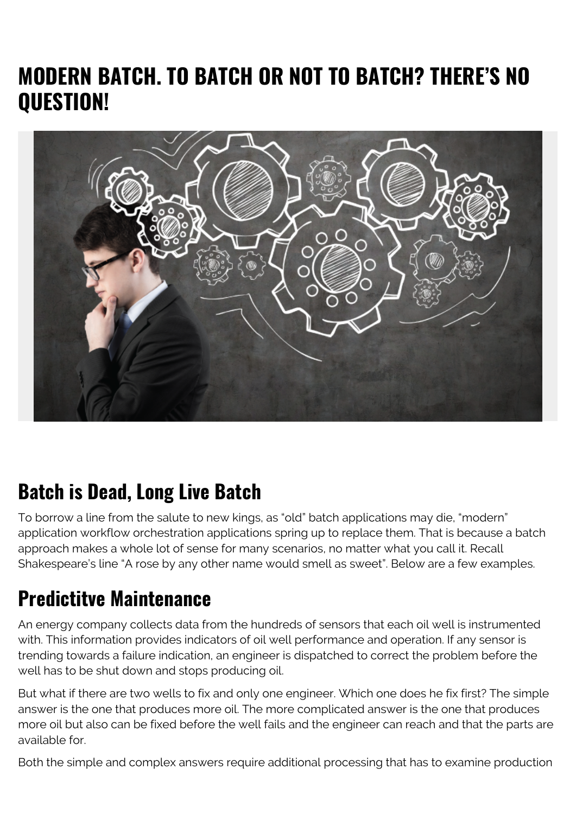## **MODERN BATCH. TO BATCH OR NOT TO BATCH? THERE'S NO QUESTION!**



#### **Batch is Dead, Long Live Batch**

To borrow a line from the salute to new kings, as "old" batch applications may die, "modern" application workflow orchestration applications spring up to replace them. That is because a batch approach makes a whole lot of sense for many scenarios, no matter what you call it. Recall Shakespeare's line "A rose by any other name would smell as sweet". Below are a few examples.

### **Predictitve Maintenance**

An energy company collects data from the hundreds of sensors that each oil well is instrumented with. This information provides indicators of oil well performance and operation. If any sensor is trending towards a failure indication, an engineer is dispatched to correct the problem before the well has to be shut down and stops producing oil.

But what if there are two wells to fix and only one engineer. Which one does he fix first? The simple answer is the one that produces more oil. The more complicated answer is the one that produces more oil but also can be fixed before the well fails and the engineer can reach and that the parts are available for.

Both the simple and complex answers require additional processing that has to examine production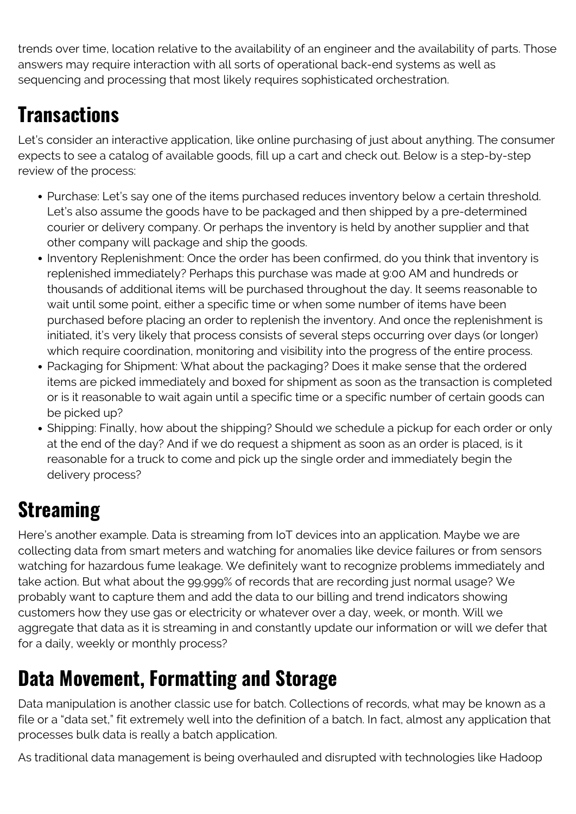trends over time, location relative to the availability of an engineer and the availability of parts. Those answers may require interaction with all sorts of operational back-end systems as well as sequencing and processing that most likely requires sophisticated orchestration.

## **Transactions**

Let's consider an interactive application, like online purchasing of just about anything. The consumer expects to see a catalog of available goods, fill up a cart and check out. Below is a step-by-step review of the process:

- Purchase: Let's say one of the items purchased reduces inventory below a certain threshold. Let's also assume the goods have to be packaged and then shipped by a pre-determined courier or delivery company. Or perhaps the inventory is held by another supplier and that other company will package and ship the goods.
- Inventory Replenishment: Once the order has been confirmed, do you think that inventory is replenished immediately? Perhaps this purchase was made at 9:00 AM and hundreds or thousands of additional items will be purchased throughout the day. It seems reasonable to wait until some point, either a specific time or when some number of items have been purchased before placing an order to replenish the inventory. And once the replenishment is initiated, it's very likely that process consists of several steps occurring over days (or longer) which require coordination, monitoring and visibility into the progress of the entire process.
- Packaging for Shipment: What about the packaging? Does it make sense that the ordered items are picked immediately and boxed for shipment as soon as the transaction is completed or is it reasonable to wait again until a specific time or a specific number of certain goods can be picked up?
- Shipping: Finally, how about the shipping? Should we schedule a pickup for each order or only at the end of the day? And if we do request a shipment as soon as an order is placed, is it reasonable for a truck to come and pick up the single order and immediately begin the delivery process?

# **Streaming**

Here's another example. Data is streaming from IoT devices into an application. Maybe we are collecting data from smart meters and watching for anomalies like device failures or from sensors watching for hazardous fume leakage. We definitely want to recognize problems immediately and take action. But what about the 99.999% of records that are recording just normal usage? We probably want to capture them and add the data to our billing and trend indicators showing customers how they use gas or electricity or whatever over a day, week, or month. Will we aggregate that data as it is streaming in and constantly update our information or will we defer that for a daily, weekly or monthly process?

## **Data Movement, Formatting and Storage**

Data manipulation is another classic use for batch. Collections of records, what may be known as a file or a "data set," fit extremely well into the definition of a batch. In fact, almost any application that processes bulk data is really a batch application.

As traditional data management is being overhauled and disrupted with technologies like Hadoop